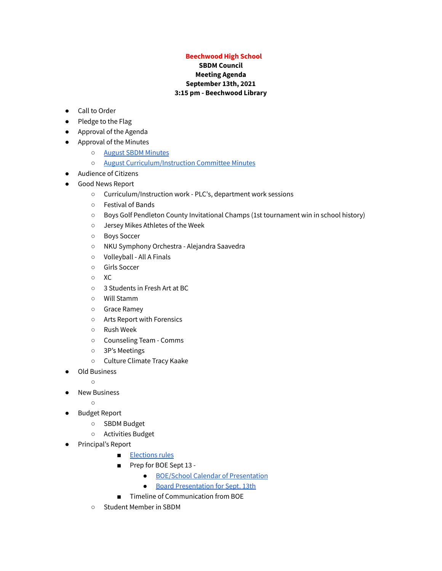## **Beechwood High School**

## **SBDM Council Meeting Agenda September 13th, 2021 3:15 pm - Beechwood Library**

- Call to Order
- Pledge to the Flag
- Approval of the Agenda
- Approval of the Minutes
	- August SBDM [Minutes](https://docs.google.com/document/d/1AxZhoKdKYuwqN-nCJtAcWh6Fq3X4qnWhsKBPkBOEbV8/edit?usp=drivesdk)
	- August [Curriculum/Instruction](https://docs.google.com/document/d/1Ye1afut5SeVIC52MHsvawNJmGapekQGIzUC0MLUMyrY/edit?usp=drivesdk) Committee Minutes
- Audience of Citizens
- Good News Report
	- Curriculum/Instruction work PLC's, department work sessions
	- Festival of Bands
	- Boys Golf Pendleton County Invitational Champs (1st tournament win in school history)
	- Jersey Mikes Athletes of the Week
	- Boys Soccer
	- NKU Symphony Orchestra Alejandra Saavedra
	- Volleyball All A Finals
	- Girls Soccer
	- XC
	- 3 Students in Fresh Art at BC
	- Will Stamm
	- Grace Ramey
	- Arts Report with Forensics
	- Rush Week
	- Counseling Team Comms
	- 3P's Meetings
	- Culture Climate Tracy Kaake
- Old Business
	- $\circ$
- **New Business** 
	- $\overline{O}$
- Budget Report
	- SBDM Budget
	- Activities Budget
- Principal's Report
	- [Elections](http://kasc.memberclicks.net/message2/link/e3b548cf-ed9a-4c85-a9f2-3f7389fb77f9/4) rules
	- Prep for BOE Sept 13 -
		- BOE/School Calendar of [Presentation](https://docs.google.com/document/d/1yny3kJTJ_kYrG1h1hhWwBeOJSLwtML11xGlg1G7eBHU/edit?usp=sharing)
		- Board [Presentation](https://docs.google.com/presentation/d/1YH1zn9W0Ak_ZHtxhbyFq0kmR1BKy30w6lFBDDH3rnp8/edit?usp=sharing) for Sept. 13th
		- Timeline of Communication from BOE
	- Student Member in SBDM